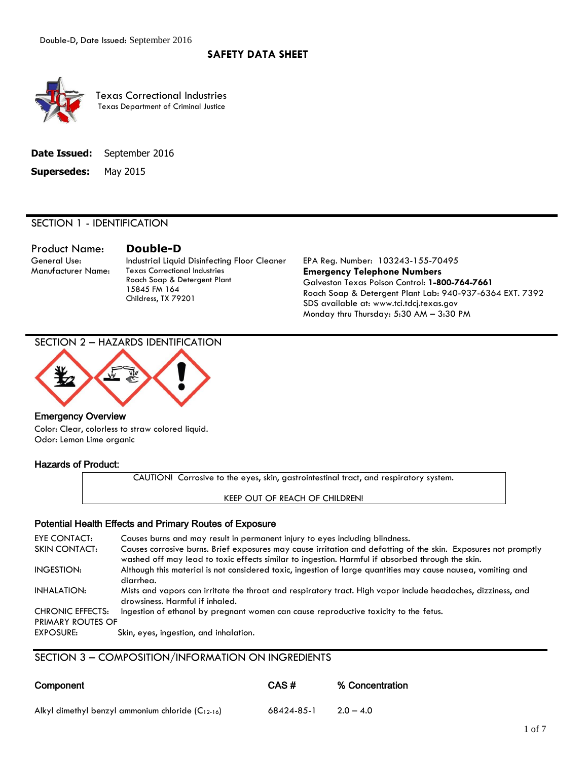## **SAFETY DATA SHEET**



Texas Correctional Industries Texas Department of Criminal Justice

|                             | <b>Date Issued:</b> September 2016 |
|-----------------------------|------------------------------------|
| <b>Supersedes:</b> May 2015 |                                    |

#### SECTION 1 - IDENTIFICATION

Product Name: **Double-D**

General Use: Industrial Liquid Disinfecting Floor Cleaner EPA Reg. Number: 103243-155-70495 Manufacturer Name: Texas Correctional Industries Roach Soap & Detergent Plant 15845 FM 164 Childress, TX 79201

**Emergency Telephone Numbers** Galveston Texas Poison Control: **1-800-764-7661** Roach Soap & Detergent Plant Lab: 940-937-6364 EXT. 7392 SDS available at: www.tci.tdcj.texas.gov Monday thru Thursday: 5:30 AM – 3:30 PM

SECTION 2 – HAZARDS IDENTIFICATION



## Emergency Overview

Color: Clear, colorless to straw colored liquid. Odor: Lemon Lime organic

## Hazards of Product:

CAUTION! Corrosive to the eyes, skin, gastrointestinal tract, and respiratory system.

KEEP OUT OF REACH OF CHILDREN!

## Potential Health Effects and Primary Routes of Exposure

| EYE CONTACT:            | Causes burns and may result in permanent injury to eyes including blindness.                                                                                                                                       |
|-------------------------|--------------------------------------------------------------------------------------------------------------------------------------------------------------------------------------------------------------------|
| SKIN CONTACT:           | Causes corrosive burns. Brief exposures may cause irritation and defatting of the skin. Exposures not promptly<br>washed off may lead to toxic effects similar to ingestion. Harmful if absorbed through the skin. |
| <b>INGESTION:</b>       | Although this material is not considered toxic, ingestion of large quantities may cause nausea, vomiting and<br>diarrhea.                                                                                          |
| <b>INHALATION:</b>      | Mists and vapors can irritate the throat and respiratory tract. High vapor include headaches, dizziness, and<br>drowsiness. Harmful if inhaled.                                                                    |
| <b>CHRONIC EFFECTS:</b> | Ingestion of ethanol by pregnant women can cause reproductive toxicity to the fetus.                                                                                                                               |
| PRIMARY ROUTES OF       |                                                                                                                                                                                                                    |
| EXPOSURE:               | Skin, eyes, ingestion, and inhalation.                                                                                                                                                                             |

SECTION 3 – COMPOSITION/INFORMATION ON INGREDIENTS

| Component                                             | CAS#       | % Concentration |
|-------------------------------------------------------|------------|-----------------|
| Alkyl dimethyl benzyl ammonium chloride $(C_{12-16})$ | 68424-85-1 | $2.0 - 4.0$     |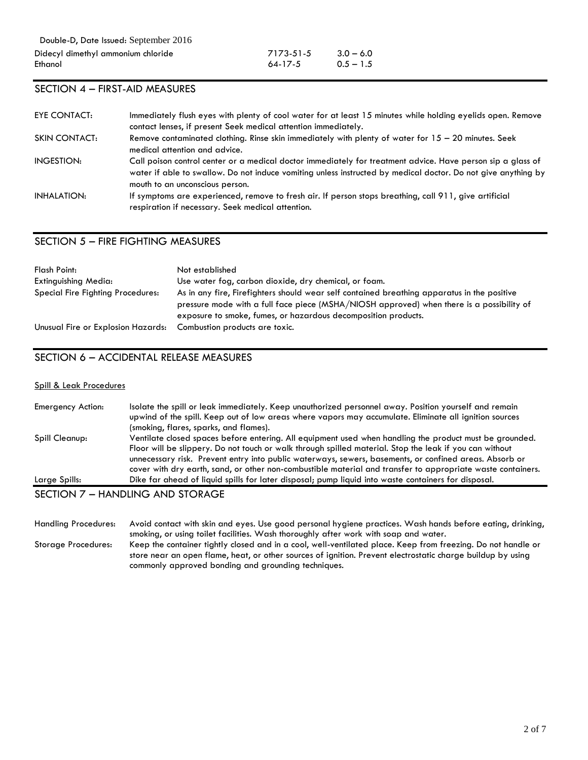| 7173-51-5     | $3.0 - 6.0$ |
|---------------|-------------|
| $64 - 17 - 5$ | $0.5 - 1.5$ |

## SECTION 4 – FIRST-AID MEASURES

| EYE CONTACT:         | Immediately flush eyes with plenty of cool water for at least 15 minutes while holding eyelids open. Remove<br>contact lenses, if present Seek medical attention immediately.                                                                                   |
|----------------------|-----------------------------------------------------------------------------------------------------------------------------------------------------------------------------------------------------------------------------------------------------------------|
| <b>SKIN CONTACT:</b> | Remove contaminated clothing. Rinse skin immediately with plenty of water for $15 - 20$ minutes. Seek<br>medical attention and advice.                                                                                                                          |
| INGESTION:           | Call poison control center or a medical doctor immediately for treatment advice. Have person sip a glass of<br>water if able to swallow. Do not induce vomiting unless instructed by medical doctor. Do not give anything by<br>mouth to an unconscious person. |
| INHALATION:          | If symptoms are experienced, remove to fresh air. If person stops breathing, call 911, give artificial<br>respiration if necessary. Seek medical attention.                                                                                                     |

## SECTION 5 – FIRE FIGHTING MEASURES

| Flash Point:                       | Not established                                                                                                                                                                                                                                            |
|------------------------------------|------------------------------------------------------------------------------------------------------------------------------------------------------------------------------------------------------------------------------------------------------------|
| Extinguishing Media:               | Use water fog, carbon dioxide, dry chemical, or foam.                                                                                                                                                                                                      |
| Special Fire Fighting Procedures:  | As in any fire, Firefighters should wear self contained breathing apparatus in the positive<br>pressure mode with a full face piece (MSHA/NIOSH approved) when there is a possibility of<br>exposure to smoke, fumes, or hazardous decomposition products. |
| Unusual Fire or Explosion Hazards: | Combustion products are toxic.                                                                                                                                                                                                                             |

## SECTION 6 – ACCIDENTAL RELEASE MEASURES

## Spill & Leak Procedures

| Large Spills:     | Dike far ahead of liquid spills for later disposal; pump liquid into waste containers for disposal.                                                                                                                                                                                                                              |
|-------------------|----------------------------------------------------------------------------------------------------------------------------------------------------------------------------------------------------------------------------------------------------------------------------------------------------------------------------------|
|                   | Floor will be slippery. Do not touch or walk through spilled material. Stop the leak if you can without<br>unnecessary risk. Prevent entry into public waterways, sewers, basements, or confined areas. Absorb or<br>cover with dry earth, sand, or other non-combustible material and transfer to appropriate waste containers. |
| Spill Cleanup:    | Ventilate closed spaces before entering. All equipment used when handling the product must be grounded.                                                                                                                                                                                                                          |
|                   | (smoking, flares, sparks, and flames).                                                                                                                                                                                                                                                                                           |
| Emergency Action: | Isolate the spill or leak immediately. Keep unauthorized personnel away. Position yourself and remain<br>upwind of the spill. Keep out of low areas where vapors may accumulate. Eliminate all ignition sources                                                                                                                  |

## SECTION 7 – HANDLING AND STORAGE

Handling Procedures: Avoid contact with skin and eyes. Use good personal hygiene practices. Wash hands before eating, drinking, smoking, or using toilet facilities. Wash thoroughly after work with soap and water. Storage Procedures: Keep the container tightly closed and in a cool, well-ventilated place. Keep from freezing. Do not handle or store near an open flame, heat, or other sources of ignition. Prevent electrostatic charge buildup by using commonly approved bonding and grounding techniques.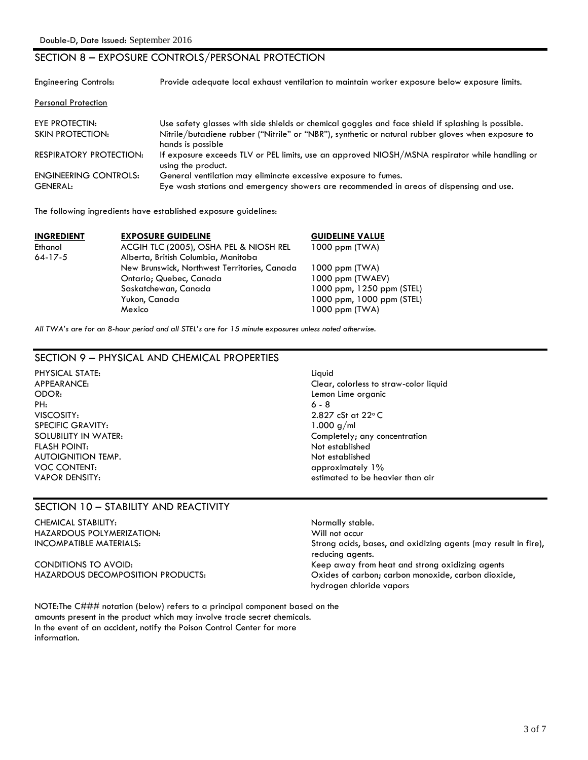## SECTION 8 – EXPOSURE CONTROLS/PERSONAL PROTECTION

| <b>Engineering Controls:</b>   | Provide adequate local exhaust ventilation to maintain worker exposure below exposure limits.                           |
|--------------------------------|-------------------------------------------------------------------------------------------------------------------------|
| <b>Personal Protection</b>     |                                                                                                                         |
| EYE PROTECTIN:                 | Use safety glasses with side shields or chemical goggles and face shield if splashing is possible.                      |
| SKIN PROTECTION:               | Nitrile/butadiene rubber ("Nitrile" or "NBR"), synthetic or natural rubber gloves when exposure to<br>hands is possible |
| <b>RESPIRATORY PROTECTION:</b> | If exposure exceeds TLV or PEL limits, use an approved NIOSH/MSNA respirator while handling or<br>using the product.    |
| <b>ENGINEERING CONTROLS:</b>   | General ventilation may eliminate excessive exposure to fumes.                                                          |
| <b>GENERAL:</b>                | Eye wash stations and emergency showers are recommended in areas of dispensing and use.                                 |

The following ingredients have established exposure guidelines:

| <b>INGREDIENT</b> | <b>EXPOSURE GUIDELINE</b>                    | <b>GUIDELINE VALUE</b>    |
|-------------------|----------------------------------------------|---------------------------|
| Ethanol           | ACGIH TLC (2005), OSHA PEL & NIOSH REL       | $1000$ ppm $(TWA)$        |
| $64 - 17 - 5$     | Alberta, British Columbia, Manitoba          |                           |
|                   | New Brunswick, Northwest Territories, Canada | $1000$ ppm $(TWA)$        |
|                   | Ontario; Quebec, Canada                      | 1000 ppm (TWAEV)          |
|                   | Saskatchewan, Canada                         | 1000 ppm, 1250 ppm (STEL) |
|                   | Yukon, Canada                                | 1000 ppm, 1000 ppm (STEL) |
|                   | Mexico                                       | $1000$ ppm $(TWA)$        |

*All TWA's are for an 8-hour period and all STEL's are for 15 minute exposures unless noted otherwise.*

## SECTION 9 – PHYSICAL AND CHEMICAL PROPERTIES

- PHYSICAL STATE: Liquid ODOR: Lemon Lime organic PH: 6 - 8 VISCOSITY: 2.827 cSt at 22°C SPECIFIC GRAVITY: 1.000 g/ml FLASH POINT: Not established AUTOIGNITION TEMP. **AUTOIGNITION** TEMP. VOC CONTENT: approximately 1%
- APPEARANCE: Clear, colorless to straw-color liquid SOLUBILITY IN WATER: Completely; any concentration VAPOR DENSITY: estimated to be heavier than air

## SECTION 10 – STABILITY AND REACTIVITY

CHEMICAL STABILITY:<br>
HAZARDOUS POLYMERIZATION: NAZARDOUS POLYMERIZATION: NAZARDOUS POLYMERIZATION: HAZARDOUS POLYMERIZATION:

INCOMPATIBLE MATERIALS: Strong acids, bases, and oxidizing agents (may result in fire), reducing agents. CONDITIONS TO AVOID: Keep away from heat and strong oxidizing agents HAZARDOUS DECOMPOSITION PRODUCTS: Oxides of carbon; carbon monoxide, carbon dioxide, hydrogen chloride vapors

NOTE:The C### notation (below) refers to a principal component based on the amounts present in the product which may involve trade secret chemicals. In the event of an accident, notify the Poison Control Center for more information.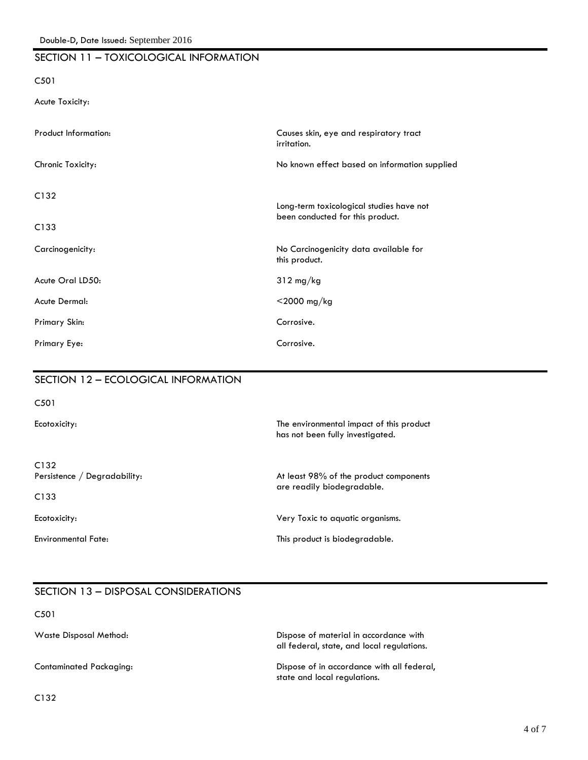## SECTION 11 – TOXICOLOGICAL INFORMATION

#### C501

Acute Toxicity:

| Product Information: | Causes skin, eye and respiratory tract<br>irritation.                        |
|----------------------|------------------------------------------------------------------------------|
| Chronic Toxicity:    | No known effect based on information supplied                                |
| C132<br>C133         | Long-term toxicological studies have not<br>been conducted for this product. |
| Carcinogenicity:     | No Carcinogenicity data available for<br>this product.                       |
| Acute Oral LD50:     | $312 \text{ mg/kg}$                                                          |
| Acute Dermal:        | $<$ 2000 mg/kg                                                               |
| Primary Skin:        | Corrosive.                                                                   |
| Primary Eye:         | Corrosive.                                                                   |

## SECTION 12 – ECOLOGICAL INFORMATION

C501

Ecotoxicity: The environmental impact of this product has not been fully investigated.

C132

C133

Persistence / Degradability: and the product components of the product components are readily biodegradable.

Ecotoxicity: Very Toxic to aquatic organisms.

Environmental Fate: This product is biodegradable.

# SECTION 13 – DISPOSAL CONSIDERATIONS

C501

Waste Disposal Method: Dispose of material in accordance with all federal, state, and local regulations.

Contaminated Packaging: Dispose of in accordance with all federal, state and local regulations.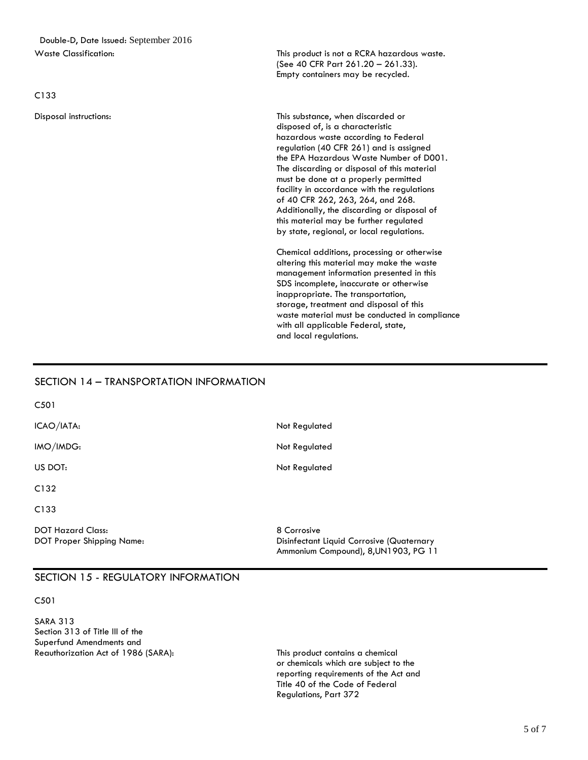Double-D, Date Issued: September 2016 Waste Classification: This product is not a RCRA hazardous waste.

C133

(See 40 CFR Part 261.20 – 261.33). Empty containers may be recycled.

Disposal instructions: This substance, when discarded or disposed of, is a characteristic hazardous waste according to Federal regulation (40 CFR 261) and is assigned the EPA Hazardous Waste Number of D001. The discarding or disposal of this material must be done at a properly permitted facility in accordance with the regulations of 40 CFR 262, 263, 264, and 268. Additionally, the discarding or disposal of this material may be further regulated by state, regional, or local regulations.

> Chemical additions, processing or otherwise altering this material may make the waste management information presented in this SDS incomplete, inaccurate or otherwise inappropriate. The transportation, storage, treatment and disposal of this waste material must be conducted in compliance with all applicable Federal, state, and local regulations.

## SECTION 14 – TRANSPORTATION INFORMATION

C501 ICAO/IATA: Not Regulated IMO/IMDG: Not Regulated US DOT: Not Regulated C132 C133 DOT Hazard Class: 8 Corrosive DOT Proper Shipping Name: The Corrosive Contract of Disinfectant Liquid Corrosive (Quaternary Ammonium Compound), 8,UN1903, PG 11

## SECTION 15 - REGULATORY INFORMATION

C501

SARA 313 Section 313 of Title III of the Superfund Amendments and Reauthorization Act of 1986 (SARA): This product contains a chemical

or chemicals which are subject to the reporting requirements of the Act and Title 40 of the Code of Federal Regulations, Part 372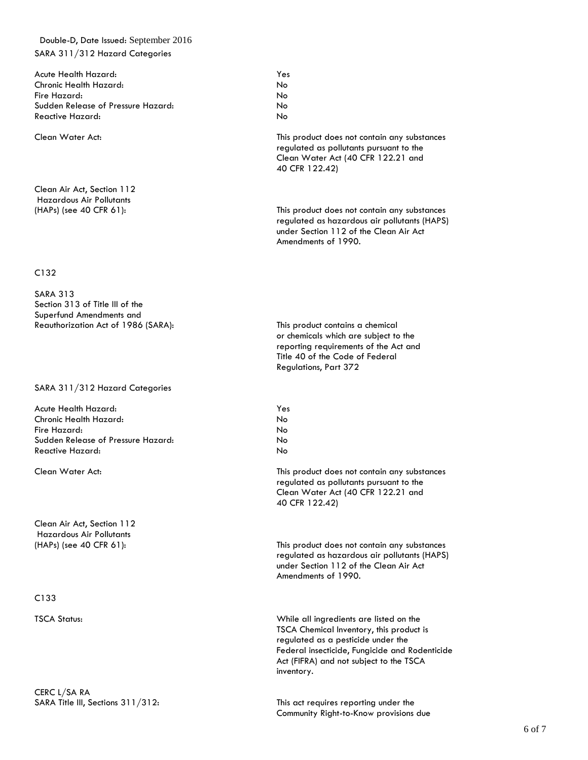## Double-D, Date Issued: September 2016 SARA 311/312 Hazard Categories

Acute Health Hazard: Yes Chronic Health Hazard: No Fire Hazard: No Sudden Release of Pressure Hazard: No Reactive Hazard: No

Clean Air Act, Section 112 Hazardous Air Pollutants

#### C132

SARA 313 Section 313 of Title III of the Superfund Amendments and Reauthorization Act of 1986 (SARA): This product contains a chemical

#### SARA 311/312 Hazard Categories

Acute Health Hazard: Yes Chronic Health Hazard: No Fire Hazard: No Sudden Release of Pressure Hazard: No Reactive Hazard: No

Clean Air Act, Section 112 Hazardous Air Pollutants

#### C133

CERC L/SA RA

Clean Water Act: This product does not contain any substances regulated as pollutants pursuant to the Clean Water Act (40 CFR 122.21 and 40 CFR 122.42)

(HAPs) (see 40 CFR 61): This product does not contain any substances regulated as hazardous air pollutants (HAPS) under Section 112 of the Clean Air Act Amendments of 1990.

> or chemicals which are subject to the reporting requirements of the Act and Title 40 of the Code of Federal Regulations, Part 372

Clean Water Act: This product does not contain any substances regulated as pollutants pursuant to the Clean Water Act (40 CFR 122.21 and 40 CFR 122.42)

(HAPs) (see 40 CFR 61): This product does not contain any substances regulated as hazardous air pollutants (HAPS) under Section 112 of the Clean Air Act Amendments of 1990.

TSCA Status: While all ingredients are listed on the TSCA Chemical Inventory, this product is regulated as a pesticide under the Federal insecticide, Fungicide and Rodenticide Act (FIFRA) and not subject to the TSCA inventory.

SARA Title III, Sections 311/312: This act requires reporting under the Community Right-to-Know provisions due